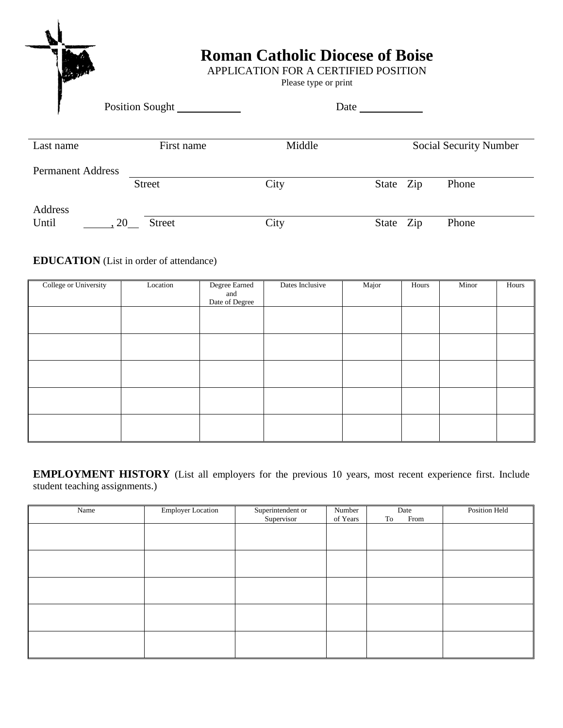|                          | <b>Roman Catholic Diocese of Boise</b><br>APPLICATION FOR A CERTIFIED POSITION<br>Please type or print |        |                               |  |  |
|--------------------------|--------------------------------------------------------------------------------------------------------|--------|-------------------------------|--|--|
|                          | Position Sought                                                                                        | Date   |                               |  |  |
| Last name                | First name                                                                                             | Middle | <b>Social Security Number</b> |  |  |
| <b>Permanent Address</b> |                                                                                                        |        |                               |  |  |
|                          | <b>Street</b>                                                                                          | City   | Phone<br>State<br>Zip         |  |  |

| Address |     |               |      |           |       |
|---------|-----|---------------|------|-----------|-------|
| Until   | .20 | <b>Street</b> | City | State Zip | Phone |

## **EDUCATION** (List in order of attendance)

| College or University | Location | Degree Earned<br>and<br>Date of Degree | Dates Inclusive | Major | Hours | Minor | Hours |
|-----------------------|----------|----------------------------------------|-----------------|-------|-------|-------|-------|
|                       |          |                                        |                 |       |       |       |       |
|                       |          |                                        |                 |       |       |       |       |
|                       |          |                                        |                 |       |       |       |       |
|                       |          |                                        |                 |       |       |       |       |
|                       |          |                                        |                 |       |       |       |       |

**EMPLOYMENT HISTORY** (List all employers for the previous 10 years, most recent experience first. Include student teaching assignments.)

| Name | <b>Employer Location</b> | Superintendent or<br>Supervisor | Number<br>of Years | Date<br>From<br>To | Position Held |
|------|--------------------------|---------------------------------|--------------------|--------------------|---------------|
|      |                          |                                 |                    |                    |               |
|      |                          |                                 |                    |                    |               |
|      |                          |                                 |                    |                    |               |
|      |                          |                                 |                    |                    |               |
|      |                          |                                 |                    |                    |               |
|      |                          |                                 |                    |                    |               |
|      |                          |                                 |                    |                    |               |
|      |                          |                                 |                    |                    |               |
|      |                          |                                 |                    |                    |               |
|      |                          |                                 |                    |                    |               |